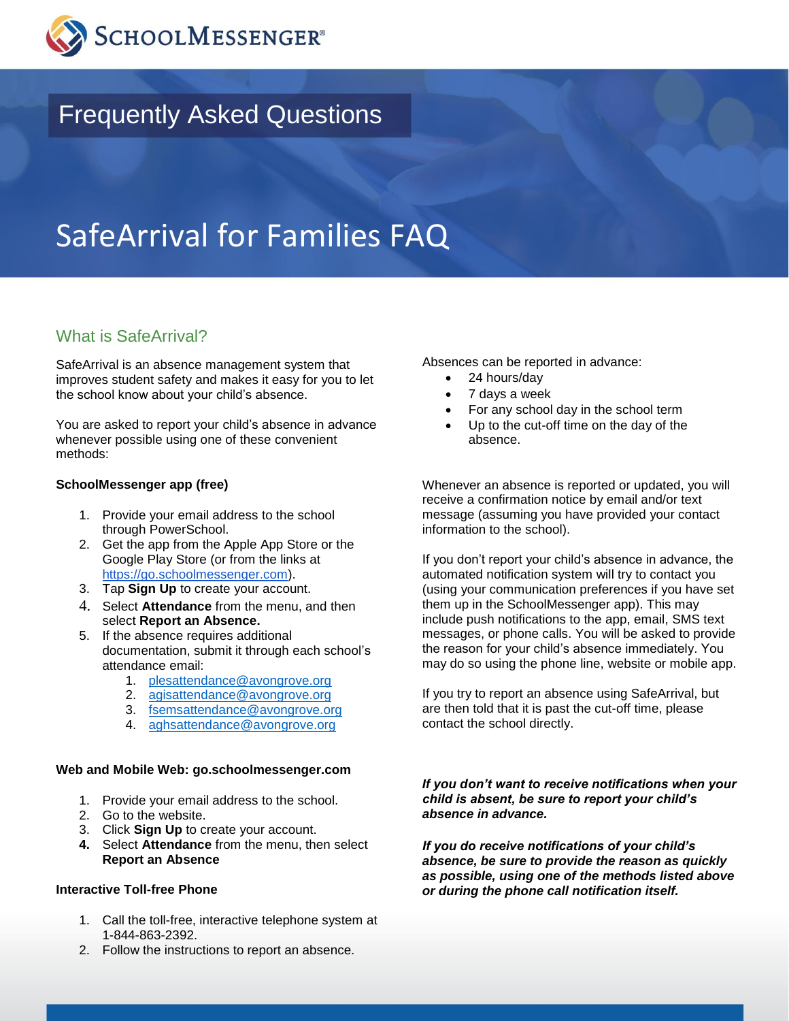

# Frequently Asked Questions

# SafeArrival for Families FAQ

## What is SafeArrival?

SafeArrival is an absence management system that improves student safety and makes it easy for you to let the school know about your child's absence.

You are asked to report your child's absence in advance whenever possible using one of these convenient methods:

#### **SchoolMessenger app (free)**

- 1. Provide your email address to the school through PowerSchool.
- 2. Get the app from the Apple App Store or the Google Play Store (or from the links at [https://go.schoolmessenger.com\)](https://go.schoolmessenger.com/).
- 3. Tap **Sign Up** to create your account.
- 4. Select **Attendance** from the menu, and then select **Report an Absence.**
- 5. If the absence requires additional documentation, submit it through each school's attendance email:
	- 1. [plesattendance@avongrove.org](mailto:plesattendance@avongrove.org)
	- 2. [agisattendance@avongrove.org](mailto:agisattendance@avongrove.org)
	- 3. [fsemsattendance@avongrove.org](mailto:fsemsattendance@avongrove.org)
	- 4. [aghsattendance@avongrove.org](mailto:aghsattendance@avongrove.org)

#### **Web and Mobile Web: go.schoolmessenger.com**

- 1. Provide your email address to the school.
- 2. Go to the website.
- 3. Click **Sign Up** to create your account.
- **4.** Select **Attendance** from the menu, then select **Report an Absence**

#### **Interactive Toll-free Phone**

- 1. Call the toll-free, interactive telephone system at 1-844-863-2392.
- 2. Follow the instructions to report an absence.

Absences can be reported in advance:

- 24 hours/day
- 7 days a week
- For any school day in the school term
- Up to the cut-off time on the day of the absence.

Whenever an absence is reported or updated, you will receive a confirmation notice by email and/or text message (assuming you have provided your contact information to the school).

If you don't report your child's absence in advance, the automated notification system will try to contact you (using your communication preferences if you have set them up in the SchoolMessenger app). This may include push notifications to the app, email, SMS text messages, or phone calls. You will be asked to provide the reason for your child's absence immediately. You may do so using the phone line, website or mobile app.

If you try to report an absence using SafeArrival, but are then told that it is past the cut-off time, please contact the school directly.

*If you don't want to receive notifications when your child is absent, be sure to report your child's absence in advance.* 

*If you do receive notifications of your child's absence, be sure to provide the reason as quickly as possible, using one of the methods listed above or during the phone call notification itself.*